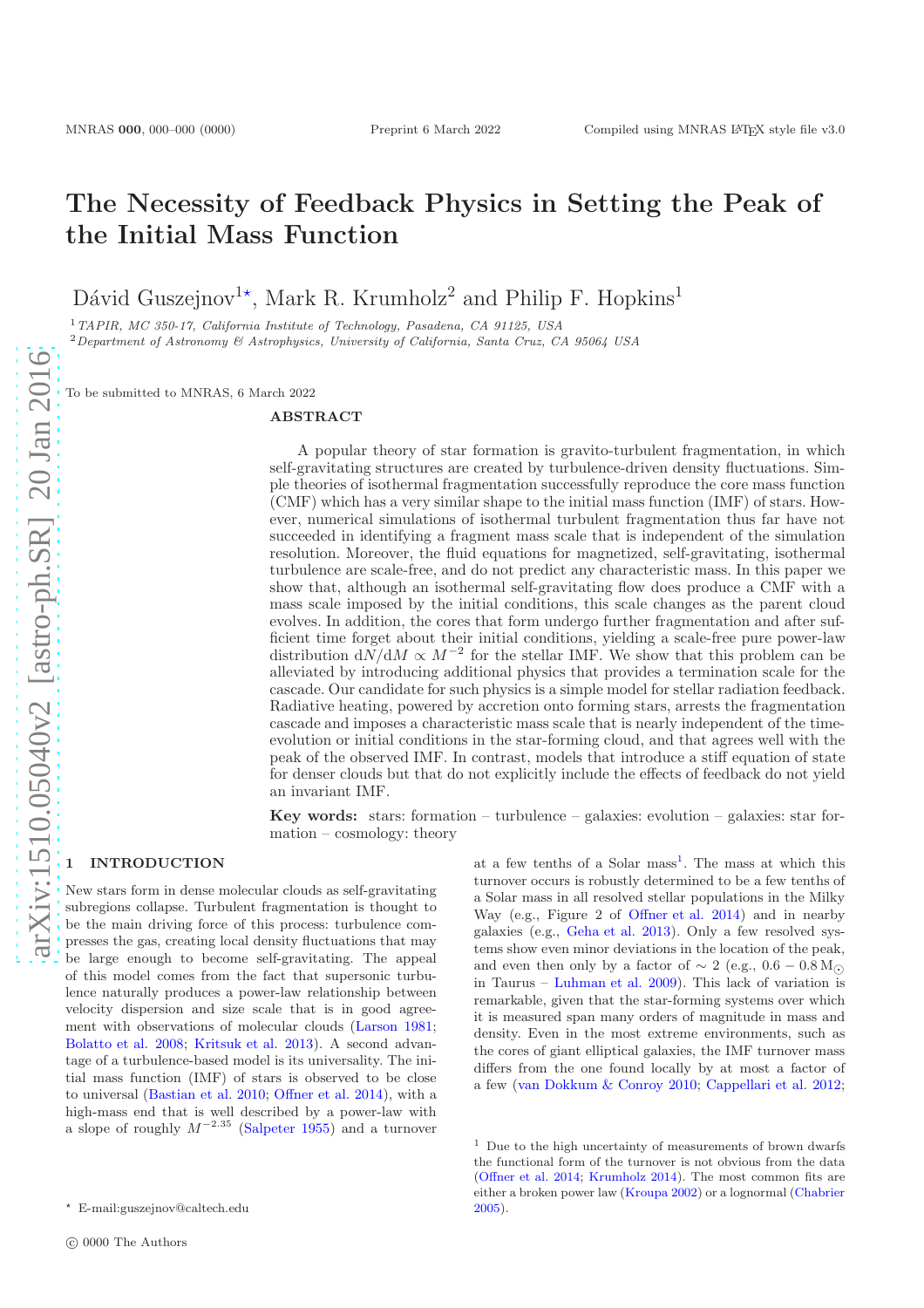# The Necessity of Feedback Physics in Setting the Peak of the Initial Mass Function

Dávid Guszejnov<sup>1\*</sup>, Mark R. Krumholz<sup>2</sup> and Philip F. Hopkins<sup>1</sup>

<sup>1</sup>TAPIR, MC 350-17, California Institute of Technology, Pasadena, CA 91125, USA <sup>2</sup>Department of Astronomy & Astrophysics, University of California, Santa Cruz, CA 95064 USA

To be submitted to MNRAS, 6 March 2022

#### ABSTRACT

A popular theory of star formation is gravito-turbulent fragmentation, in which self-gravitating structures are created by turbulence-driven density fluctuations. Simple theories of isothermal fragmentation successfully reproduce the core mass function (CMF) which has a very similar shape to the initial mass function (IMF) of stars. However, numerical simulations of isothermal turbulent fragmentation thus far have not succeeded in identifying a fragment mass scale that is independent of the simulation resolution. Moreover, the fluid equations for magnetized, self-gravitating, isothermal turbulence are scale-free, and do not predict any characteristic mass. In this paper we show that, although an isothermal self-gravitating flow does produce a CMF with a mass scale imposed by the initial conditions, this scale changes as the parent cloud evolves. In addition, the cores that form undergo further fragmentation and after sufficient time forget about their initial conditions, yielding a scale-free pure power-law distribution  $dN/dM \propto M^{-2}$  for the stellar IMF. We show that this problem can be alleviated by introducing additional physics that provides a termination scale for the cascade. Our candidate for such physics is a simple model for stellar radiation feedback. Radiative heating, powered by accretion onto forming stars, arrests the fragmentation cascade and imposes a characteristic mass scale that is nearly independent of the timeevolution or initial conditions in the star-forming cloud, and that agrees well with the peak of the observed IMF. In contrast, models that introduce a stiff equation of state for denser clouds but that do not explicitly include the effects of feedback do not yield an invariant IMF.

Key words: stars: formation – turbulence – galaxies: evolution – galaxies: star formation – cosmology: theory

# **INTRODUCTION**

New stars form in dense molecular clouds as self-gravitating subregions collapse. Turbulent fragmentation is thought to be the main driving force of this process: turbulence compresses the gas, creating local density fluctuations that may be large enough to become self-gravitating. The appeal of this model comes from the fact that supersonic turbulence naturally produces a power-law relationship between velocity dispersion and size scale that is in good agreement with observations of molecular clouds [\(Larson 1981;](#page-8-0) [Bolatto et al. 2008](#page-7-0); [Kritsuk et al. 2013\)](#page-8-1). A second advantage of a turbulence-based model is its universality. The initial mass function (IMF) of stars is observed to be close to universal [\(Bastian et al. 2010](#page-7-1); [Offner et al. 2014\)](#page-8-2), with a high-mass end that is well described by a power-law with a slope of roughly  $M^{-2.35}$  [\(Salpeter 1955](#page-8-3)) and a turnover

at a few tenths of a Solar mass<sup>[1](#page-0-0)</sup>. The mass at which this turnover occurs is robustly determined to be a few tenths of a Solar mass in all resolved stellar populations in the Milky Way (e.g., Figure 2 of [Offner et al. 2014\)](#page-8-2) and in nearby galaxies (e.g., [Geha et al. 2013](#page-7-2)). Only a few resolved systems show even minor deviations in the location of the peak, and even then only by a factor of  $\sim 2$  (e.g., 0.6 – 0.8 M<sub>⊙</sub>) in Taurus – [Luhman et al. 2009\)](#page-8-4). This lack of variation is remarkable, given that the star-forming systems over which it is measured span many orders of magnitude in mass and density. Even in the most extreme environments, such as the cores of giant elliptical galaxies, the IMF turnover mass differs from the one found locally by at most a factor of a few [\(van Dokkum & Conroy 2010;](#page-8-5) [Cappellari et al. 2012;](#page-7-3)

<sup>⋆</sup> E-mail:guszejnov@caltech.edu

<span id="page-0-0"></span> $1$  Due to the high uncertainty of measurements of brown dwarfs the functional form of the turnover is not obvious from the data [\(Offner et al. 2014](#page-8-2); [Krumholz 2014](#page-8-6)). The most common fits are either a broken power law [\(Kroupa 2002](#page-8-7)) or a lognormal [\(Chabrier](#page-7-4) [2005](#page-7-4)).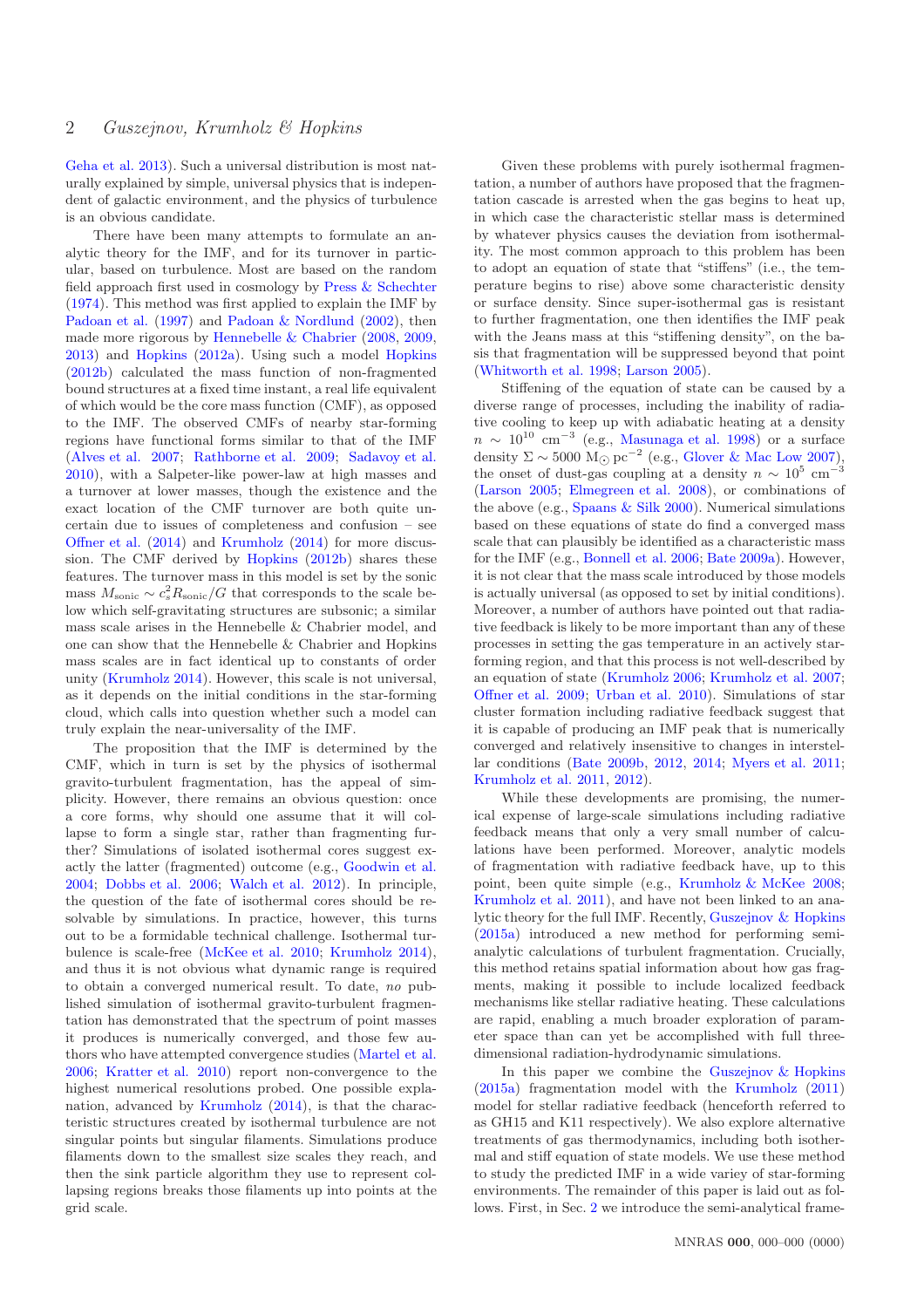[Geha et al. 2013\)](#page-7-2). Such a universal distribution is most naturally explained by simple, universal physics that is independent of galactic environment, and the physics of turbulence is an obvious candidate.

There have been many attempts to formulate an analytic theory for the IMF, and for its turnover in particular, based on turbulence. Most are based on the random field approach first used in cosmology by [Press & Schechter](#page-8-8) [\(1974](#page-8-8)). This method was first applied to explain the IMF by [Padoan et al.](#page-8-9) [\(1997](#page-8-9)) and [Padoan & Nordlund](#page-8-10) [\(2002\)](#page-8-10), then made more rigorous by [Hennebelle & Chabrier](#page-8-11) [\(2008,](#page-8-11) [2009,](#page-8-12) [2013](#page-8-13)) and [Hopkins](#page-8-14) [\(2012a](#page-8-14)). Using such a model [Hopkins](#page-8-15) [\(2012b](#page-8-15)) calculated the mass function of non-fragmented bound structures at a fixed time instant, a real life equivalent of which would be the core mass function (CMF), as opposed to the IMF. The observed CMFs of nearby star-forming regions have functional forms similar to that of the IMF [\(Alves et al. 2007;](#page-7-5) [Rathborne et al. 2009;](#page-8-16) [Sadavoy et al.](#page-8-17) [2010](#page-8-17)), with a Salpeter-like power-law at high masses and a turnover at lower masses, though the existence and the exact location of the CMF turnover are both quite uncertain due to issues of completeness and confusion – see [Offner et al.](#page-8-2) [\(2014\)](#page-8-2) and [Krumholz](#page-8-6) [\(2014](#page-8-6)) for more discussion. The CMF derived by [Hopkins](#page-8-15) [\(2012b](#page-8-15)) shares these features. The turnover mass in this model is set by the sonic mass  $M_{\text{sonic}} \sim c_s^2 R_{\text{sonic}}/G$  that corresponds to the scale below which self-gravitating structures are subsonic; a similar mass scale arises in the Hennebelle & Chabrier model, and one can show that the Hennebelle & Chabrier and Hopkins mass scales are in fact identical up to constants of order unity [\(Krumholz 2014](#page-8-6)). However, this scale is not universal, as it depends on the initial conditions in the star-forming cloud, which calls into question whether such a model can truly explain the near-universality of the IMF.

The proposition that the IMF is determined by the CMF, which in turn is set by the physics of isothermal gravito-turbulent fragmentation, has the appeal of simplicity. However, there remains an obvious question: once a core forms, why should one assume that it will collapse to form a single star, rather than fragmenting further? Simulations of isolated isothermal cores suggest exactly the latter (fragmented) outcome (e.g., [Goodwin et al.](#page-8-18) [2004](#page-8-18); [Dobbs et al. 2006](#page-7-6); [Walch et al. 2012](#page-8-19)). In principle, the question of the fate of isothermal cores should be resolvable by simulations. In practice, however, this turns out to be a formidable technical challenge. Isothermal turbulence is scale-free [\(McKee et al. 2010](#page-8-20); [Krumholz 2014](#page-8-6)), and thus it is not obvious what dynamic range is required to obtain a converged numerical result. To date, no published simulation of isothermal gravito-turbulent fragmentation has demonstrated that the spectrum of point masses it produces is numerically converged, and those few authors who have attempted convergence studies [\(Martel et al.](#page-8-21) [2006](#page-8-21); [Kratter et al. 2010](#page-8-22)) report non-convergence to the highest numerical resolutions probed. One possible explanation, advanced by [Krumholz](#page-8-6) [\(2014\)](#page-8-6), is that the characteristic structures created by isothermal turbulence are not singular points but singular filaments. Simulations produce filaments down to the smallest size scales they reach, and then the sink particle algorithm they use to represent collapsing regions breaks those filaments up into points at the grid scale.

Given these problems with purely isothermal fragmentation, a number of authors have proposed that the fragmentation cascade is arrested when the gas begins to heat up, in which case the characteristic stellar mass is determined by whatever physics causes the deviation from isothermality. The most common approach to this problem has been to adopt an equation of state that "stiffens" (i.e., the temperature begins to rise) above some characteristic density or surface density. Since super-isothermal gas is resistant to further fragmentation, one then identifies the IMF peak with the Jeans mass at this "stiffening density", on the basis that fragmentation will be suppressed beyond that point [\(Whitworth et al. 1998](#page-8-23); [Larson 2005\)](#page-8-24).

Stiffening of the equation of state can be caused by a diverse range of processes, including the inability of radiative cooling to keep up with adiabatic heating at a density  $n \sim 10^{10}$  cm<sup>-3</sup> (e.g., [Masunaga et al. 1998](#page-8-25)) or a surface density  $\Sigma \sim 5000 \text{ M}_{\odot} \text{pc}^{-2}$  (e.g., [Glover & Mac Low 2007](#page-7-7)), the onset of dust-gas coupling at a density  $n \sim 10^5$  cm<sup>-3</sup> [\(Larson 2005](#page-8-24); [Elmegreen et al. 2008](#page-7-8)), or combinations of the above (e.g., Spaans  $&$  Silk 2000). Numerical simulations based on these equations of state do find a converged mass scale that can plausibly be identified as a characteristic mass for the IMF (e.g., [Bonnell et al. 2006](#page-7-9); [Bate 2009a](#page-7-10)). However, it is not clear that the mass scale introduced by those models is actually universal (as opposed to set by initial conditions). Moreover, a number of authors have pointed out that radiative feedback is likely to be more important than any of these processes in setting the gas temperature in an actively starforming region, and that this process is not well-described by an equation of state [\(Krumholz 2006;](#page-8-27) [Krumholz et al. 2007;](#page-8-28) [Offner et al. 2009;](#page-8-29) [Urban et al. 2010](#page-8-30)). Simulations of star cluster formation including radiative feedback suggest that it is capable of producing an IMF peak that is numerically converged and relatively insensitive to changes in interstellar conditions [\(Bate 2009b,](#page-7-11) [2012,](#page-7-12) [2014;](#page-7-13) [Myers et al. 2011;](#page-8-31) [Krumholz et al. 2011](#page-8-32), [2012](#page-8-33)).

While these developments are promising, the numerical expense of large-scale simulations including radiative feedback means that only a very small number of calculations have been performed. Moreover, analytic models of fragmentation with radiative feedback have, up to this point, been quite simple (e.g., [Krumholz & McKee 2008;](#page-8-34) [Krumholz et al. 2011](#page-8-32)), and have not been linked to an analytic theory for the full IMF. Recently, [Guszejnov & Hopkins](#page-8-35) [\(2015a\)](#page-8-35) introduced a new method for performing semianalytic calculations of turbulent fragmentation. Crucially, this method retains spatial information about how gas fragments, making it possible to include localized feedback mechanisms like stellar radiative heating. These calculations are rapid, enabling a much broader exploration of parameter space than can yet be accomplished with full threedimensional radiation-hydrodynamic simulations.

In this paper we combine the [Guszejnov & Hopkins](#page-8-35) [\(2015a\)](#page-8-35) fragmentation model with the [Krumholz](#page-8-36) [\(2011](#page-8-36)) model for stellar radiative feedback (henceforth referred to as GH15 and K11 respectively). We also explore alternative treatments of gas thermodynamics, including both isothermal and stiff equation of state models. We use these method to study the predicted IMF in a wide variey of star-forming environments. The remainder of this paper is laid out as follows. First, in Sec. [2](#page-2-0) we introduce the semi-analytical frame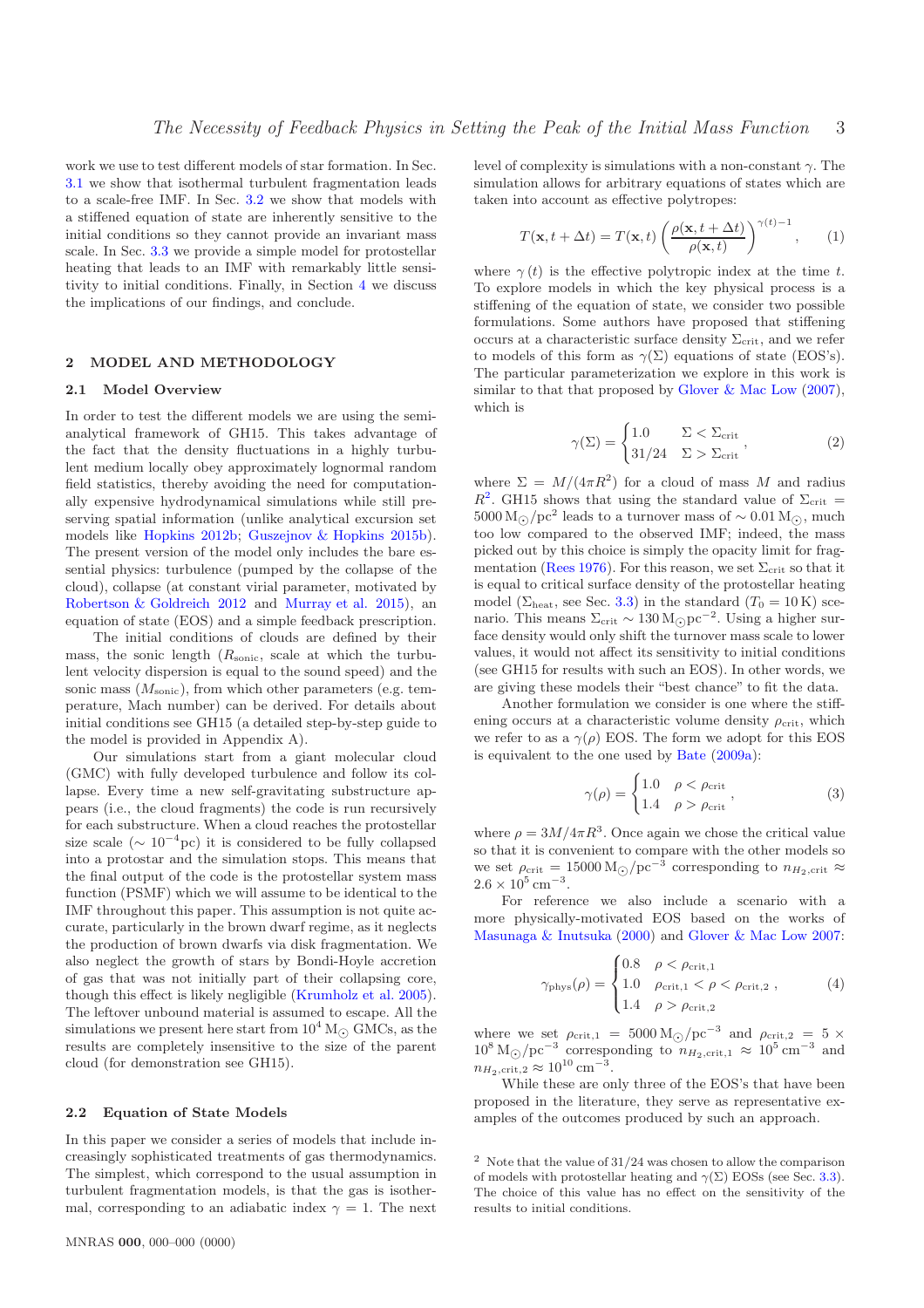work we use to test different models of star formation. In Sec. [3.1](#page-3-0) we show that isothermal turbulent fragmentation leads to a scale-free IMF. In Sec. [3.2](#page-5-0) we show that models with a stiffened equation of state are inherently sensitive to the initial conditions so they cannot provide an invariant mass scale. In Sec. [3.3](#page-5-1) we provide a simple model for protostellar heating that leads to an IMF with remarkably little sensitivity to initial conditions. Finally, in Section [4](#page-6-0) we discuss the implications of our findings, and conclude.

# <span id="page-2-0"></span>2 MODEL AND METHODOLOGY

#### 2.1 Model Overview

In order to test the different models we are using the semianalytical framework of GH15. This takes advantage of the fact that the density fluctuations in a highly turbulent medium locally obey approximately lognormal random field statistics, thereby avoiding the need for computationally expensive hydrodynamical simulations while still preserving spatial information (unlike analytical excursion set models like [Hopkins 2012b](#page-8-15); [Guszejnov & Hopkins 2015b](#page-8-37)). The present version of the model only includes the bare essential physics: turbulence (pumped by the collapse of the cloud), collapse (at constant virial parameter, motivated by [Robertson & Goldreich 2012](#page-8-38) and [Murray et al. 2015](#page-8-39)), an equation of state (EOS) and a simple feedback prescription.

The initial conditions of clouds are defined by their mass, the sonic length  $(R_{\text{sonic}})$ , scale at which the turbulent velocity dispersion is equal to the sound speed) and the sonic mass  $(M_{\text{sonic}})$ , from which other parameters (e.g. temperature, Mach number) can be derived. For details about initial conditions see GH15 (a detailed step-by-step guide to the model is provided in Appendix A).

Our simulations start from a giant molecular cloud (GMC) with fully developed turbulence and follow its collapse. Every time a new self-gravitating substructure appears (i.e., the cloud fragments) the code is run recursively for each substructure. When a cloud reaches the protostellar size scale  $({\sim 10^{-4} \text{pc}})$  it is considered to be fully collapsed into a protostar and the simulation stops. This means that the final output of the code is the protostellar system mass function (PSMF) which we will assume to be identical to the IMF throughout this paper. This assumption is not quite accurate, particularly in the brown dwarf regime, as it neglects the production of brown dwarfs via disk fragmentation. We also neglect the growth of stars by Bondi-Hoyle accretion of gas that was not initially part of their collapsing core, though this effect is likely negligible [\(Krumholz et al. 2005](#page-8-40)). The leftover unbound material is assumed to escape. All the simulations we present here start from  $10^4 M_{\odot}$  GMCs, as the results are completely insensitive to the size of the parent cloud (for demonstration see GH15).

## 2.2 Equation of State Models

In this paper we consider a series of models that include increasingly sophisticated treatments of gas thermodynamics. The simplest, which correspond to the usual assumption in turbulent fragmentation models, is that the gas is isothermal, corresponding to an adiabatic index  $\gamma = 1$ . The next level of complexity is simulations with a non-constant  $\gamma$ . The simulation allows for arbitrary equations of states which are taken into account as effective polytropes:

$$
T(\mathbf{x}, t + \Delta t) = T(\mathbf{x}, t) \left( \frac{\rho(\mathbf{x}, t + \Delta t)}{\rho(\mathbf{x}, t)} \right)^{\gamma(t) - 1}, \qquad (1)
$$

where  $\gamma(t)$  is the effective polytropic index at the time t. To explore models in which the key physical process is a stiffening of the equation of state, we consider two possible formulations. Some authors have proposed that stiffening occurs at a characteristic surface density  $\Sigma_{\rm crit}$ , and we refer to models of this form as  $\gamma(\Sigma)$  equations of state (EOS's). The particular parameterization we explore in this work is similar to that that proposed by [Glover & Mac Low](#page-7-7) [\(2007](#page-7-7)), which is

<span id="page-2-4"></span>
$$
\gamma(\Sigma) = \begin{cases} 1.0 & \Sigma < \Sigma_{\text{crit}} \\ 31/24 & \Sigma > \Sigma_{\text{crit}} \end{cases},\tag{2}
$$

where  $\Sigma = M/(4\pi R^2)$  for a cloud of mass M and radius  $R^2$  $R^2$ . GH15 shows that using the standard value of  $\Sigma_{\rm crit}$  = 5000 M<sub>☉</sub>/pc<sup>2</sup> leads to a turnover mass of ~ 0.01 M<sub>☉</sub>, much too low compared to the observed IMF; indeed, the mass picked out by this choice is simply the opacity limit for frag-mentation [\(Rees 1976\)](#page-8-41). For this reason, we set  $\Sigma_{\rm crit}$  so that it is equal to critical surface density of the protostellar heating model ( $\Sigma_{\text{heat}}$ , see Sec. [3.3\)](#page-5-1) in the standard ( $T_0 = 10 \,\text{K}$ ) scenario. This means  $\Sigma_{\rm crit} \sim 130 \,{\rm M_{\odot}pc^{-2}}$ . Using a higher sur-<br>feed during world when biff the turn surgeon such the large face density would only shift the turnover mass scale to lower values, it would not affect its sensitivity to initial conditions (see GH15 for results with such an EOS). In other words, we are giving these models their "best chance" to fit the data.

Another formulation we consider is one where the stiffening occurs at a characteristic volume density  $\rho_{\rm crit}$ , which we refer to as a  $\gamma(\rho)$  EOS. The form we adopt for this EOS is equivalent to the one used by [Bate](#page-7-10) [\(2009a](#page-7-10)):

<span id="page-2-3"></span><span id="page-2-2"></span>
$$
\gamma(\rho) = \begin{cases} 1.0 & \rho < \rho_{\text{crit}} \\ 1.4 & \rho > \rho_{\text{crit}} \end{cases},\tag{3}
$$

where  $\rho = 3M/4\pi R^3$ . Once again we chose the critical value so that it is convenient to compare with the other models so we set  $\rho_{\rm crit} = 15000 \,\rm M_{\odot}/pc^{-3}$  corresponding to  $n_{H_2,\rm crit} \approx$  $2.6 \times 10^5 \text{ cm}^{-3}.$ 

For reference we also include a scenario with a more physically-motivated EOS based on the works of [Masunaga & Inutsuka](#page-8-42) [\(2000\)](#page-8-42) and [Glover & Mac Low 2007](#page-7-7):

$$
\gamma_{\text{phys}}(\rho) = \begin{cases} 0.8 & \rho < \rho_{\text{crit},1} \\ 1.0 & \rho_{\text{crit},1} < \rho < \rho_{\text{crit},2} \\ 1.4 & \rho > \rho_{\text{crit},2} \end{cases} \tag{4}
$$

where we set  $\rho_{\text{crit,1}} = 5000 \,\text{M}_{\odot}/\text{pc}^{-3}$  and  $\rho_{\text{crit,2}} = 5 \times 10^8 \,\text{M}_{\odot}/\text{s}^{-3}$  compared that the set of  $10^5 \,\text{m}^{-3}$  and  $10^8 \,\mathrm{M}_{\odot}/\mathrm{pc}^{-3}$  corresponding to  $n_{H_2,\text{crit},1} \approx 10^5 \,\mathrm{cm}^{-3}$  and  $n_{H_2,\text{crit},2} \approx 10^{10} \text{ cm}^{-3}.$ 

While these are only three of the EOS's that have been proposed in the literature, they serve as representative examples of the outcomes produced by such an approach.

<span id="page-2-1"></span> $2$  Note that the value of  $31/24$  was chosen to allow the comparison of models with protostellar heating and  $\gamma(\Sigma)$  EOSs (see Sec. [3.3\)](#page-5-1). The choice of this value has no effect on the sensitivity of the results to initial conditions.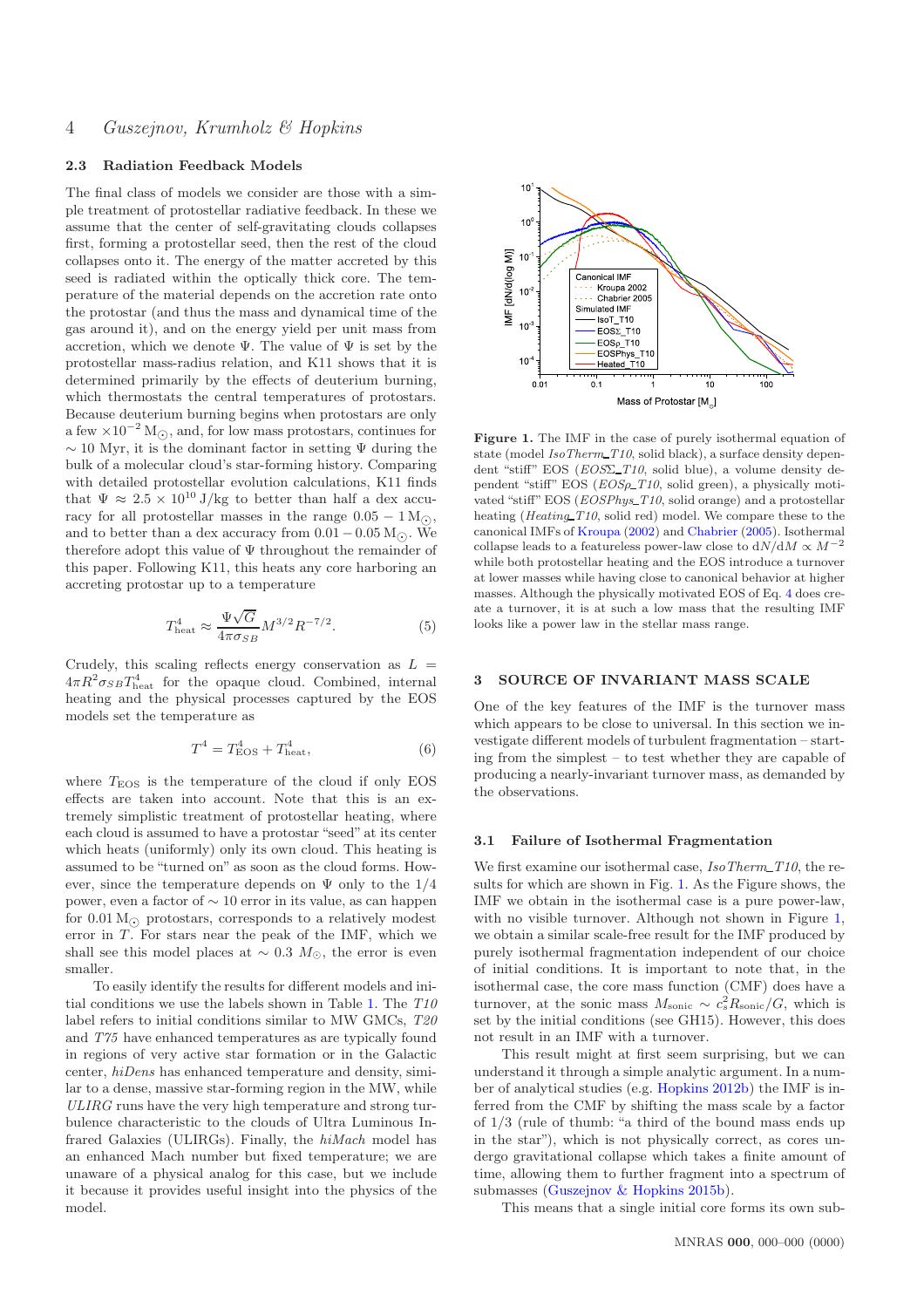# 4 Guszejnov, Krumholz & Hopkins

# 2.3 Radiation Feedback Models

The final class of models we consider are those with a simple treatment of protostellar radiative feedback. In these we assume that the center of self-gravitating clouds collapses first, forming a protostellar seed, then the rest of the cloud collapses onto it. The energy of the matter accreted by this seed is radiated within the optically thick core. The temperature of the material depends on the accretion rate onto the protostar (and thus the mass and dynamical time of the gas around it), and on the energy yield per unit mass from accretion, which we denote  $\Psi$ . The value of  $\Psi$  is set by the protostellar mass-radius relation, and K11 shows that it is determined primarily by the effects of deuterium burning, which thermostats the central temperatures of protostars. Because deuterium burning begins when protostars are only a few  $\times 10^{-2}$  M<sub>⊙</sub>, and, for low mass protostars, continues for  $\sim$  10 Myr, it is the dominant factor in setting  $\Psi$  during the bulk of a molecular cloud's star-forming history. Comparing with detailed protostellar evolution calculations, K11 finds that  $\Psi \approx 2.5 \times 10^{10}$  J/kg to better than half a dex accuracy for all protostellar masses in the range  $0.05 - 1 \text{ M}_\odot$ , and to better than a dex accuracy from  $0.01 - 0.05$  M<sub>⊙</sub>. We therefore adopt this value of  $\Psi$  throughout the remainder of this paper. Following K11, this heats any core harboring an accreting protostar up to a temperature

$$
T_{\text{heat}}^4 \approx \frac{\Psi\sqrt{G}}{4\pi\sigma_{SB}} M^{3/2} R^{-7/2}.
$$
 (5)

Crudely, this scaling reflects energy conservation as  $L =$  $4\pi R^2 \sigma_{SB} T_{\text{heat}}^4$  for the opaque cloud. Combined, internal heating and the physical processes captured by the EOS models set the temperature as

<span id="page-3-2"></span>
$$
T^4 = T_{\text{EOS}}^4 + T_{\text{heat}}^4,\tag{6}
$$

where  $T_{\text{EOS}}$  is the temperature of the cloud if only EOS effects are taken into account. Note that this is an extremely simplistic treatment of protostellar heating, where each cloud is assumed to have a protostar "seed" at its center which heats (uniformly) only its own cloud. This heating is assumed to be "turned on" as soon as the cloud forms. However, since the temperature depends on  $\Psi$  only to the  $1/4$ power, even a factor of ∼ 10 error in its value, as can happen for  $0.01 M_{\odot}$  protostars, corresponds to a relatively modest error in  $T$ . For stars near the peak of the IMF, which we shall see this model places at  $\sim$  0.3  $M_{\odot}$ , the error is even smaller.

To easily identify the results for different models and initial conditions we use the labels shown in Table [1.](#page-4-0) The T10 label refers to initial conditions similar to MW GMCs, T20 and T75 have enhanced temperatures as are typically found in regions of very active star formation or in the Galactic center, hiDens has enhanced temperature and density, similar to a dense, massive star-forming region in the MW, while ULIRG runs have the very high temperature and strong turbulence characteristic to the clouds of Ultra Luminous Infrared Galaxies (ULIRGs). Finally, the hiMach model has an enhanced Mach number but fixed temperature; we are unaware of a physical analog for this case, but we include it because it provides useful insight into the physics of the model.



<span id="page-3-1"></span>Figure 1. The IMF in the case of purely isothermal equation of state (model  $IsoTherm\_T10$ , solid black), a surface density dependent "stiff" EOS  $(EOS\Sigma_T10,$  solid blue), a volume density dependent "stiff" EOS (*EOS* $\rho$ -*T10*, solid green), a physically motivated "stiff" EOS (EOSPhys\_T10, solid orange) and a protostellar heating (*Heating\_T10*, solid red) model. We compare these to the canonical IMFs of [Kroupa](#page-8-7) [\(2002\)](#page-8-7) and [Chabrier](#page-7-4) [\(2005](#page-7-4)). Isothermal collapse leads to a featureless power-law close to  ${\rm d}N/{\rm d}M \propto M^{-2}$ while both protostellar heating and the EOS introduce a turnover at lower masses while having close to canonical behavior at higher masses. Although the physically motivated EOS of Eq. [4](#page-2-2) does create a turnover, it is at such a low mass that the resulting IMF looks like a power law in the stellar mass range.

# 3 SOURCE OF INVARIANT MASS SCALE

One of the key features of the IMF is the turnover mass which appears to be close to universal. In this section we investigate different models of turbulent fragmentation – starting from the simplest – to test whether they are capable of producing a nearly-invariant turnover mass, as demanded by the observations.

#### <span id="page-3-0"></span>3.1 Failure of Isothermal Fragmentation

We first examine our isothermal case,  $IsoTherm\_T10$ , the results for which are shown in Fig. [1.](#page-3-1) As the Figure shows, the IMF we obtain in the isothermal case is a pure power-law, with no visible turnover. Although not shown in Figure [1,](#page-3-1) we obtain a similar scale-free result for the IMF produced by purely isothermal fragmentation independent of our choice of initial conditions. It is important to note that, in the isothermal case, the core mass function (CMF) does have a turnover, at the sonic mass  $M_{\text{sonic}} \sim c_s^2 R_{\text{sonic}}/G$ , which is set by the initial conditions (see GH15). However, this does not result in an IMF with a turnover.

This result might at first seem surprising, but we can understand it through a simple analytic argument. In a number of analytical studies (e.g. [Hopkins 2012b](#page-8-15)) the IMF is inferred from the CMF by shifting the mass scale by a factor of 1/3 (rule of thumb: "a third of the bound mass ends up in the star"), which is not physically correct, as cores undergo gravitational collapse which takes a finite amount of time, allowing them to further fragment into a spectrum of submasses [\(Guszejnov & Hopkins 2015b\)](#page-8-37).

This means that a single initial core forms its own sub-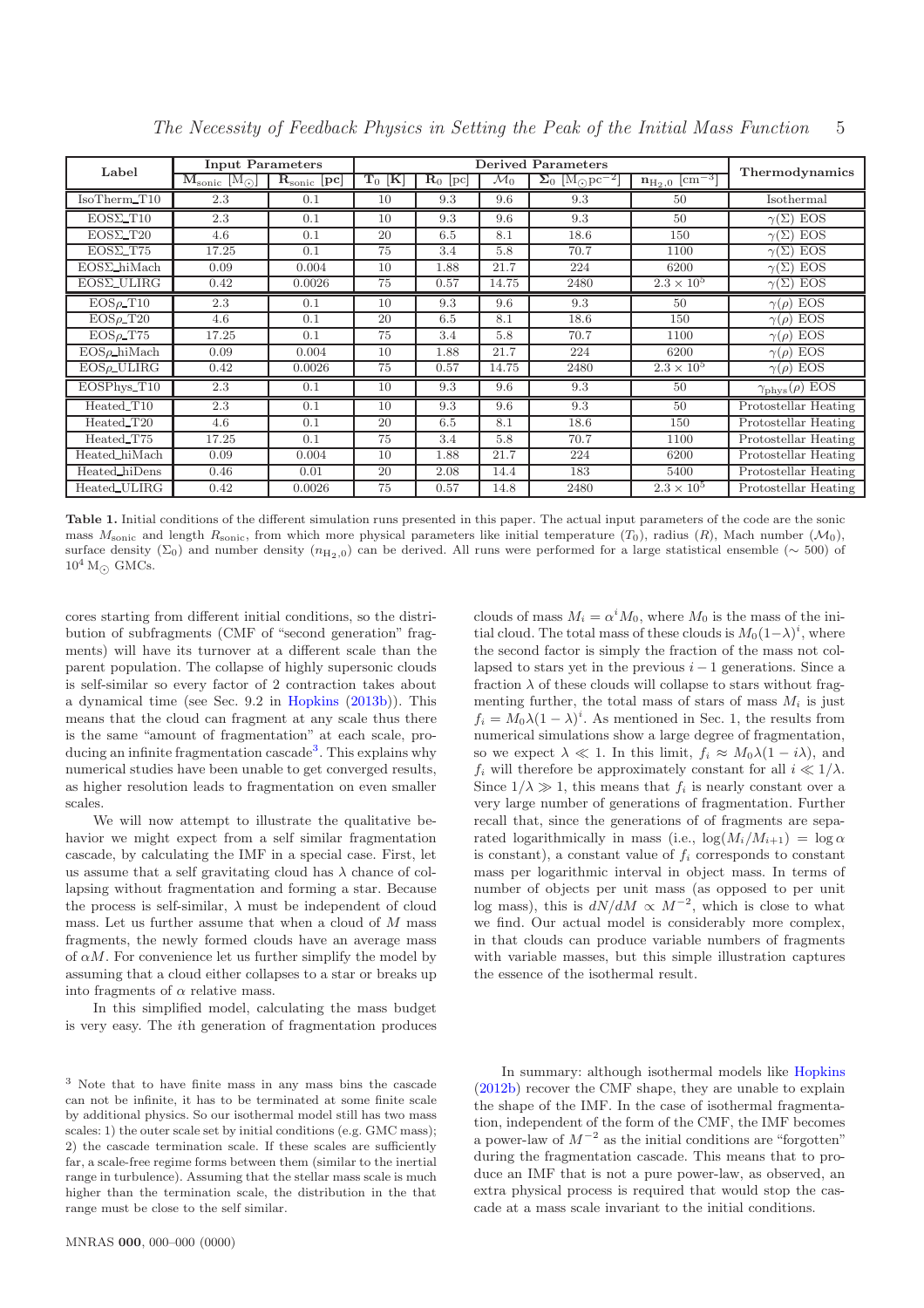| Label               | <b>Input Parameters</b>                            |                                  | <b>Derived Parameters</b> |                                |                 |                                                        |                                  | Thermodynamics                |
|---------------------|----------------------------------------------------|----------------------------------|---------------------------|--------------------------------|-----------------|--------------------------------------------------------|----------------------------------|-------------------------------|
|                     | $M_{\rm sonic}$ [M <sub><math>\odot</math></sub> ] | $\mathbf{R}_{\text{sonic}}$ [pc] | $T_0$ [K]                 | $\overline{\mathbf{R}}_0$ [pc] | $\mathcal{M}_0$ | $\overline{\Sigma_0}$ [M <sub>o</sub> pc <sup>-2</sup> | $n_{H_2,0}$ $\overline{cm^{-3}}$ |                               |
| IsoTherm_T10        | 2.3                                                | 0.1                              | 10                        | 9.3                            | 9.6             | 9.3                                                    | $50^{\circ}$                     | Isothermal                    |
| $EOS\Sigma_T10$     | 2.3                                                | 0.1                              | 10                        | 9.3                            | 9.6             | 9.3                                                    | 50                               | $\gamma(\Sigma)$ EOS          |
| $EOS\Sigma_T20$     | 4.6                                                | 0.1                              | 20                        | 6.5                            | 8.1             | 18.6                                                   | 150                              | $\gamma(\Sigma)$ EOS          |
| $EOS\Sigma_T75$     | 17.25                                              | 0.1                              | 75                        | 3.4                            | 5.8             | 70.7                                                   | 1100                             | EOS<br>$\gamma(\Sigma)$       |
| $EOS\Sigma_h$ iMach | 0.09                                               | 0.004                            | 10                        | 1.88                           | 21.7            | 224                                                    | 6200                             | $\gamma(\Sigma)$ EOS          |
| $EOS\Sigma$ -ULIRG  | 0.42                                               | 0.0026                           | 75                        | 0.57                           | 14.75           | 2480                                                   | $2.3 \times 10^5$                | EOS<br>$\gamma(\Sigma)$       |
| $EOS\rho_T10$       | 2.3                                                | 0.1                              | 10                        | 9.3                            | 9.6             | 9.3                                                    | 50                               | $\gamma(\rho)$ EOS            |
| $EOS\rho_T20$       | 4.6                                                | 0.1                              | 20                        | 6.5                            | 8.1             | 18.6                                                   | 150                              | $\gamma(\rho)$ EOS            |
| $EOS\rho_T75$       | 17.25                                              | 0.1                              | 75                        | 3.4                            | 5.8             | 70.7                                                   | 1100                             | $\gamma(\rho)$ EOS            |
| $EOS\rho_h$ hiMach  | 0.09                                               | 0.004                            | 10                        | 1.88                           | 21.7            | 224                                                    | 6200                             | EOS<br>$\gamma(\rho)$         |
| $EOS\rho$ _ULIRG    | 0.42                                               | 0.0026                           | 75                        | 0.57                           | 14.75           | 2480                                                   | $2.3 \times 10^5$                | $\gamma(\rho)$ EOS            |
| EOSPhys_T10         | 2.3                                                | 0.1                              | 10                        | 9.3                            | 9.6             | 9.3                                                    | 50                               | $\gamma_{\rm phys}(\rho)$ EOS |
| Heated_T10          | 2.3                                                | 0.1                              | 10                        | 9.3                            | 9.6             | 9.3                                                    | 50                               | Protostellar Heating          |
| Heated_T20          | 4.6                                                | 0.1                              | 20                        | 6.5                            | 8.1             | 18.6                                                   | 150                              | Protostellar Heating          |
| Heated_T75          | 17.25                                              | 0.1                              | 75                        | 3.4                            | 5.8             | 70.7                                                   | 1100                             | Protostellar Heating          |
| Heated_hiMach       | 0.09                                               | 0.004                            | 10                        | 1.88                           | 21.7            | 224                                                    | 6200                             | Protostellar Heating          |
| Heated_hiDens       | 0.46                                               | 0.01                             | 20                        | 2.08                           | 14.4            | 183                                                    | 5400                             | Protostellar Heating          |
| Heated_ULIRG        | 0.42                                               | 0.0026                           | 75                        | 0.57                           | 14.8            | 2480                                                   | $2.3 \times 10^5$                | Protostellar Heating          |

The Necessity of Feedback Physics in Setting the Peak of the Initial Mass Function 5

<span id="page-4-0"></span>Table 1. Initial conditions of the different simulation runs presented in this paper. The actual input parameters of the code are the sonic mass  $M_{\text{sonic}}$  and length  $R_{\text{sonic}}$ , from which more physical parameters like initial temperature  $(T_0)$ , radius  $(R)$ , Mach number  $(\mathcal{M}_0)$ , surface density ( $\Sigma_0$ ) and number density ( $n_{\text{H}_2,0}$ ) can be derived. All runs were performed for a large statistical ensemble (~ 500) of  $10^4$  M<sub> $\odot$ </sub> GMCs.

cores starting from different initial conditions, so the distribution of subfragments (CMF of "second generation" fragments) will have its turnover at a different scale than the parent population. The collapse of highly supersonic clouds is self-similar so every factor of 2 contraction takes about a dynamical time (see Sec. 9.2 in [Hopkins](#page-8-43) [\(2013b](#page-8-43))). This means that the cloud can fragment at any scale thus there is the same "amount of fragmentation" at each scale, pro-ducing an infinite fragmentation cascade<sup>[3](#page-4-1)</sup>. This explains why numerical studies have been unable to get converged results, as higher resolution leads to fragmentation on even smaller scales.

We will now attempt to illustrate the qualitative behavior we might expect from a self similar fragmentation cascade, by calculating the IMF in a special case. First, let us assume that a self gravitating cloud has  $\lambda$  chance of collapsing without fragmentation and forming a star. Because the process is self-similar,  $\lambda$  must be independent of cloud mass. Let us further assume that when a cloud of  $M$  mass fragments, the newly formed clouds have an average mass of  $\alpha M$ . For convenience let us further simplify the model by assuming that a cloud either collapses to a star or breaks up into fragments of  $\alpha$  relative mass.

In this simplified model, calculating the mass budget is very easy. The ith generation of fragmentation produces

<span id="page-4-1"></span><sup>3</sup> Note that to have finite mass in any mass bins the cascade can not be infinite, it has to be terminated at some finite scale by additional physics. So our isothermal model still has two mass scales: 1) the outer scale set by initial conditions (e.g. GMC mass); 2) the cascade termination scale. If these scales are sufficiently far, a scale-free regime forms between them (similar to the inertial range in turbulence). Assuming that the stellar mass scale is much higher than the termination scale, the distribution in the that range must be close to the self similar.

MNRAS 000, 000–000 (0000)

clouds of mass  $M_i = \alpha^i M_0$ , where  $M_0$  is the mass of the initial cloud. The total mass of these clouds is  $M_0(1-\lambda)^i$ , where the second factor is simply the fraction of the mass not collapsed to stars yet in the previous  $i - 1$  generations. Since a fraction  $\lambda$  of these clouds will collapse to stars without fragmenting further, the total mass of stars of mass  $M_i$  is just  $f_i = M_0 \lambda (1 - \lambda)^i$ . As mentioned in Sec. 1, the results from numerical simulations show a large degree of fragmentation, so we expect  $\lambda \ll 1$ . In this limit,  $f_i \approx M_0 \lambda (1 - i \lambda)$ , and  $f_i$  will therefore be approximately constant for all  $i \ll 1/\lambda$ . Since  $1/\lambda \gg 1$ , this means that  $f_i$  is nearly constant over a very large number of generations of fragmentation. Further recall that, since the generations of of fragments are separated logarithmically in mass (i.e.,  $\log(M_i/M_{i+1}) = \log \alpha$ is constant), a constant value of  $f_i$  corresponds to constant mass per logarithmic interval in object mass. In terms of number of objects per unit mass (as opposed to per unit log mass), this is  $dN/dM \propto M^{-2}$ , which is close to what we find. Our actual model is considerably more complex, in that clouds can produce variable numbers of fragments with variable masses, but this simple illustration captures the essence of the isothermal result.

In summary: although isothermal models like [Hopkins](#page-8-15) [\(2012b](#page-8-15)) recover the CMF shape, they are unable to explain the shape of the IMF. In the case of isothermal fragmentation, independent of the form of the CMF, the IMF becomes a power-law of  $M^{-2}$  as the initial conditions are "forgotten" during the fragmentation cascade. This means that to produce an IMF that is not a pure power-law, as observed, an extra physical process is required that would stop the cascade at a mass scale invariant to the initial conditions.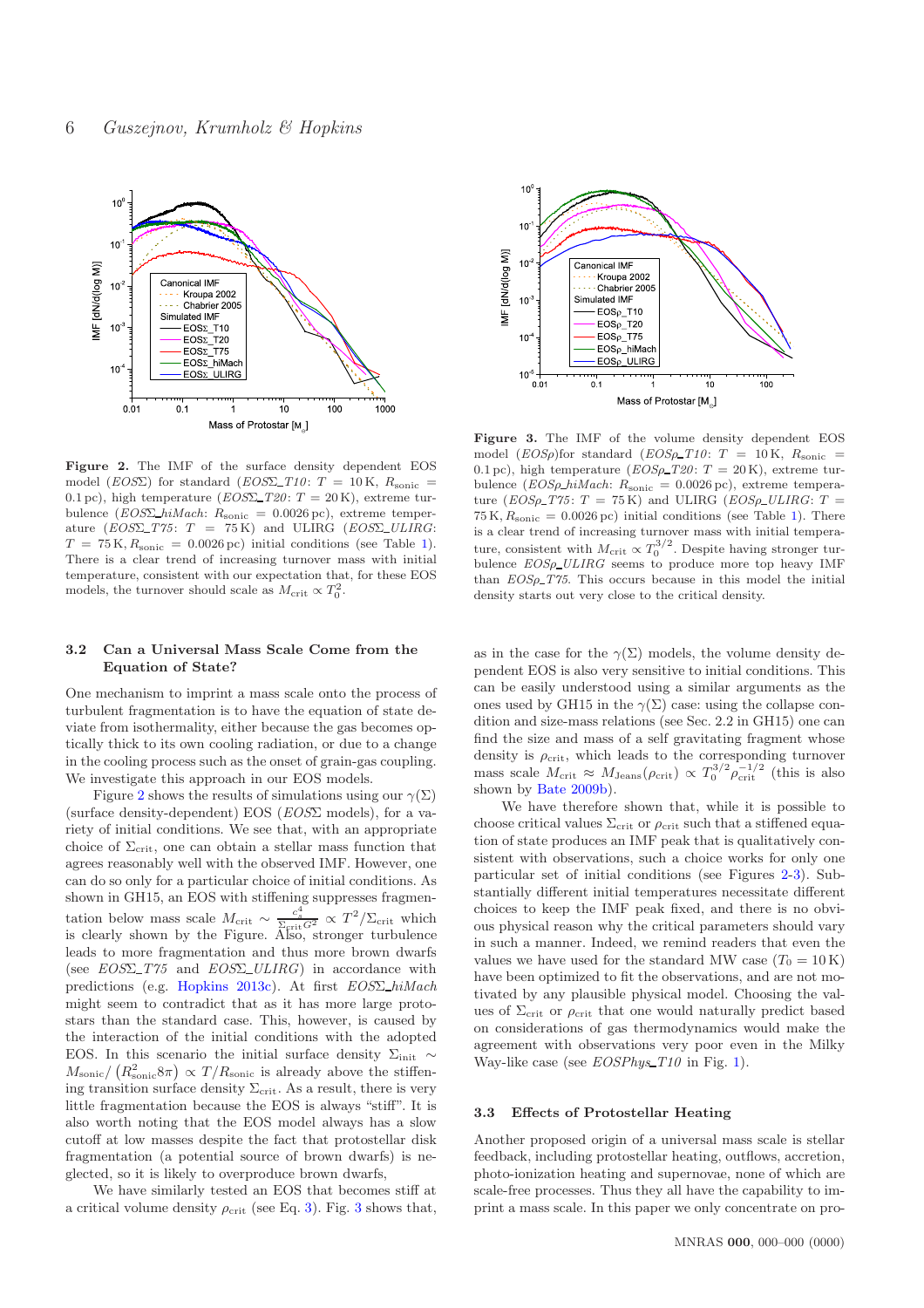

<span id="page-5-2"></span>Figure 2. The IMF of the surface density dependent EOS model (EOS) for standard (EOS) T10: T = 10 K,  $R_{\text{sonic}}$  = 0.1 pc), high temperature  $(EOS\Sigma_T20: T = 20 \text{ K})$ , extreme turbulence ( $EOS\Sigma_h$ hiMach:  $R_{sonic} = 0.0026$  pc), extreme temperature  $(EOS\Sigma_T75: T = 75 \text{ K})$  and ULIRG  $(EOS\Sigma_LULIRG:$  $T = 75$  K,  $R_{\text{sonic}} = 0.0026$  pc) initial conditions (see Table [1\)](#page-4-0). There is a clear trend of increasing turnover mass with initial temperature, consistent with our expectation that, for these EOS models, the turnover should scale as  $M_{\text{crit}} \propto T_0^2$ .

## <span id="page-5-0"></span>3.2 Can a Universal Mass Scale Come from the Equation of State?

One mechanism to imprint a mass scale onto the process of turbulent fragmentation is to have the equation of state deviate from isothermality, either because the gas becomes optically thick to its own cooling radiation, or due to a change in the cooling process such as the onset of grain-gas coupling. We investigate this approach in our EOS models.

Figure [2](#page-5-2) shows the results of simulations using our  $\gamma(\Sigma)$ (surface density-dependent) EOS (EOSΣ models), for a variety of initial conditions. We see that, with an appropriate choice of  $\Sigma_{\rm crit}$ , one can obtain a stellar mass function that agrees reasonably well with the observed IMF. However, one can do so only for a particular choice of initial conditions. As shown in GH15, an EOS with stiffening suppresses fragmentation below mass scale  $M_{\text{crit}} \sim \frac{c_s^4}{\Sigma_{\text{crit}} G^2} \propto T^2/\Sigma_{\text{crit}}$  which is clearly shown by the Figure. Also, stronger turbulence leads to more fragmentation and thus more brown dwarfs (see  $EOS\Sigma_T75$  and  $EOS\Sigma_ULIRG)$  in accordance with predictions (e.g. [Hopkins 2013c\)](#page-8-44). At first EOSΣ hiMach might seem to contradict that as it has more large protostars than the standard case. This, however, is caused by the interaction of the initial conditions with the adopted EOS. In this scenario the initial surface density  $\Sigma_{\text{init}} \sim$  $M_{\rm sonic}/\left(R_{\rm sonic}^2 8\pi\right) \propto T/R_{\rm sonic}$  is already above the stiffening transition surface density  $\Sigma_{\rm crit}$ . As a result, there is very little fragmentation because the EOS is always "stiff". It is also worth noting that the EOS model always has a slow cutoff at low masses despite the fact that protostellar disk fragmentation (a potential source of brown dwarfs) is neglected, so it is likely to overproduce brown dwarfs,

We have similarly tested an EOS that becomes stiff at a critical volume density  $\rho_{\rm crit}$  (see Eq. [3\)](#page-2-3). Fig. [3](#page-5-3) shows that,



<span id="page-5-3"></span>Figure 3. The IMF of the volume density dependent EOS model  $(EOSp)$ for standard  $(EOSp\_T10: T = 10 \text{ K}, R_{sonic} =$ 0.1 pc), high temperature  $(EOS \rho_T20: T = 20 \text{ K})$ , extreme turbulence ( $EOSp\_hiMach: R_{sonic} = 0.0026 \text{ pc}$ ), extreme temperature ( $EOSp_T75: T = 75 K$ ) and ULIRG ( $EOSp_LULIRG: T =$  $75$  K,  $R_{\text{sonic}} = 0.0026$  pc) initial conditions (see Table [1\)](#page-4-0). There is a clear trend of increasing turnover mass with initial temperature, consistent with  $M_{\text{crit}} \propto T_0^{3/2}$ . Despite having stronger turbulence  $EOSp\_ULIRG$  seems to produce more top heavy IMF than  $EOS\rho$ -T75. This occurs because in this model the initial density starts out very close to the critical density.

as in the case for the  $\gamma(\Sigma)$  models, the volume density dependent EOS is also very sensitive to initial conditions. This can be easily understood using a similar arguments as the ones used by GH15 in the  $\gamma(\Sigma)$  case: using the collapse condition and size-mass relations (see Sec. 2.2 in GH15) one can find the size and mass of a self gravitating fragment whose density is  $\rho_{\rm crit}$ , which leads to the corresponding turnover mass scale  $M_{\text{crit}} \approx M_{\text{Jeans}}(\rho_{\text{crit}}) \propto T_0^{3/2} \rho_{\text{crit}}^{-1/2}$  (this is also shown by [Bate 2009b](#page-7-11)).

We have therefore shown that, while it is possible to choose critical values  $\Sigma_{\rm crit}$  or  $\rho_{\rm crit}$  such that a stiffened equation of state produces an IMF peak that is qualitatively consistent with observations, such a choice works for only one particular set of initial conditions (see Figures [2-](#page-5-2)[3\)](#page-5-3). Substantially different initial temperatures necessitate different choices to keep the IMF peak fixed, and there is no obvious physical reason why the critical parameters should vary in such a manner. Indeed, we remind readers that even the values we have used for the standard MW case  $(T_0 = 10 \text{ K})$ have been optimized to fit the observations, and are not motivated by any plausible physical model. Choosing the values of  $\Sigma_{\rm crit}$  or  $\rho_{\rm crit}$  that one would naturally predict based on considerations of gas thermodynamics would make the agreement with observations very poor even in the Milky Way-like case (see  $EOSPhys_T10$  in Fig. [1\)](#page-3-1).

#### <span id="page-5-1"></span>3.3 Effects of Protostellar Heating

Another proposed origin of a universal mass scale is stellar feedback, including protostellar heating, outflows, accretion, photo-ionization heating and supernovae, none of which are scale-free processes. Thus they all have the capability to imprint a mass scale. In this paper we only concentrate on pro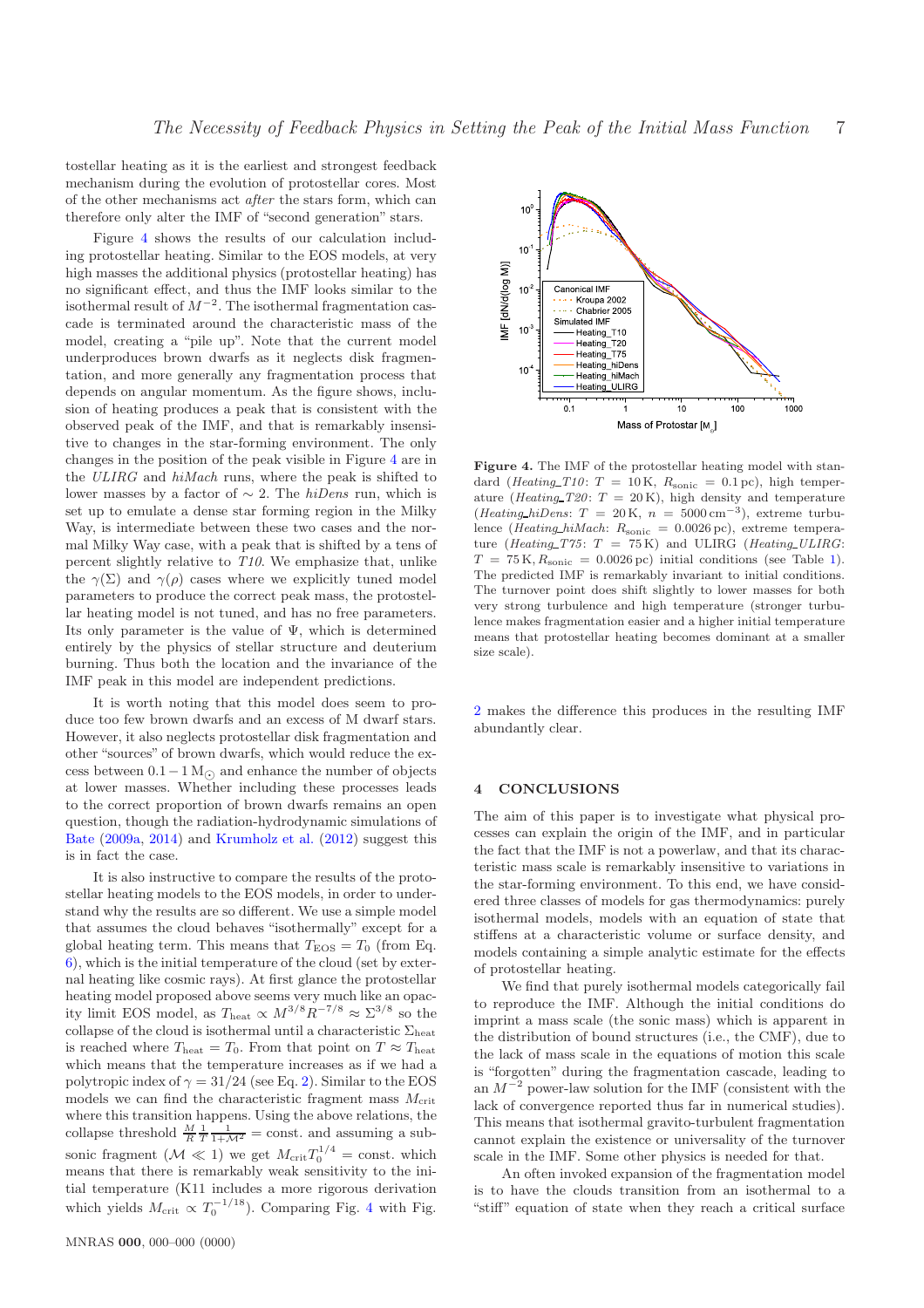tostellar heating as it is the earliest and strongest feedback mechanism during the evolution of protostellar cores. Most of the other mechanisms act after the stars form, which can therefore only alter the IMF of "second generation" stars.

Figure [4](#page-6-1) shows the results of our calculation including protostellar heating. Similar to the EOS models, at very high masses the additional physics (protostellar heating) has no significant effect, and thus the IMF looks similar to the isothermal result of  $M^{-2}$ . The isothermal fragmentation cascade is terminated around the characteristic mass of the model, creating a "pile up". Note that the current model underproduces brown dwarfs as it neglects disk fragmentation, and more generally any fragmentation process that depends on angular momentum. As the figure shows, inclusion of heating produces a peak that is consistent with the observed peak of the IMF, and that is remarkably insensitive to changes in the star-forming environment. The only changes in the position of the peak visible in Figure [4](#page-6-1) are in the ULIRG and hiMach runs, where the peak is shifted to lower masses by a factor of  $\sim$  2. The *hiDens* run, which is set up to emulate a dense star forming region in the Milky Way, is intermediate between these two cases and the normal Milky Way case, with a peak that is shifted by a tens of percent slightly relative to T10. We emphasize that, unlike the  $\gamma(\Sigma)$  and  $\gamma(\rho)$  cases where we explicitly tuned model parameters to produce the correct peak mass, the protostellar heating model is not tuned, and has no free parameters. Its only parameter is the value of  $\Psi$ , which is determined entirely by the physics of stellar structure and deuterium burning. Thus both the location and the invariance of the IMF peak in this model are independent predictions.

It is worth noting that this model does seem to produce too few brown dwarfs and an excess of M dwarf stars. However, it also neglects protostellar disk fragmentation and other "sources" of brown dwarfs, which would reduce the excess between  $0.1-1 M_{\odot}$  and enhance the number of objects at lower masses. Whether including these processes leads to the correct proportion of brown dwarfs remains an open question, though the radiation-hydrodynamic simulations of [Bate](#page-7-10) [\(2009a](#page-7-10), [2014](#page-7-13)) and [Krumholz et al.](#page-8-33) [\(2012](#page-8-33)) suggest this is in fact the case.

It is also instructive to compare the results of the protostellar heating models to the EOS models, in order to understand why the results are so different. We use a simple model that assumes the cloud behaves "isothermally" except for a global heating term. This means that  $T_{\rm EOS} = T_0$  (from Eq. [6\)](#page-3-2), which is the initial temperature of the cloud (set by external heating like cosmic rays). At first glance the protostellar heating model proposed above seems very much like an opacity limit EOS model, as  $T_{\text{heat}} \propto M^{3/8} R^{-7/8} \approx \Sigma^{3/8}$  so the collapse of the cloud is isothermal until a characteristic  $\Sigma_{\rm heat}$ is reached where  $T_{\text{heat}} = T_0$ . From that point on  $T \approx T_{\text{heat}}$ which means that the temperature increases as if we had a polytropic index of  $\gamma = 31/24$  (see Eq. [2\)](#page-2-4). Similar to the EOS models we can find the characteristic fragment mass  $M_{\text{crit}}$ where this transition happens. Using the above relations, the collapse threshold  $\frac{M}{R} \frac{1}{T} \frac{1}{1 + M^2} = \text{const.}$  and assuming a subsonic fragment  $(\mathcal{M} \ll 1)$  we get  $M_{\text{crit}} T_0^{1/4} = \text{const.}$  which means that there is remarkably weak sensitivity to the initial temperature (K11 includes a more rigorous derivation which yields  $M_{\text{crit}} \propto T_0^{-1/18}$ ). Comparing Fig. [4](#page-6-1) with Fig.



<span id="page-6-1"></span>Figure 4. The IMF of the protostellar heating model with standard (*Heating\_T10*: T = 10 K,  $R_{\text{sonic}}$  = 0.1 pc), high temperature (*Heating T20*:  $T = 20$  K), high density and temperature  $(Heating_hiDens: T = 20 \text{ K}, n = 5000 \text{ cm}^{-3}),$  extreme turbulence (*Heating\_hiMach*:  $R_{sonic} = 0.0026 \text{ pc}$ ), extreme temperature (Heating T75:  $T = 75$ K) and ULIRG (Heating ULIRG:  $T = 75$  K,  $R_{\text{sonic}} = 0.0026$  pc) initial conditions (see Table [1\)](#page-4-0). The predicted IMF is remarkably invariant to initial conditions. The turnover point does shift slightly to lower masses for both very strong turbulence and high temperature (stronger turbulence makes fragmentation easier and a higher initial temperature means that protostellar heating becomes dominant at a smaller size scale).

[2](#page-5-2) makes the difference this produces in the resulting IMF abundantly clear.

## <span id="page-6-0"></span>4 CONCLUSIONS

The aim of this paper is to investigate what physical processes can explain the origin of the IMF, and in particular the fact that the IMF is not a powerlaw, and that its characteristic mass scale is remarkably insensitive to variations in the star-forming environment. To this end, we have considered three classes of models for gas thermodynamics: purely isothermal models, models with an equation of state that stiffens at a characteristic volume or surface density, and models containing a simple analytic estimate for the effects of protostellar heating.

We find that purely isothermal models categorically fail to reproduce the IMF. Although the initial conditions do imprint a mass scale (the sonic mass) which is apparent in the distribution of bound structures (i.e., the CMF), due to the lack of mass scale in the equations of motion this scale is "forgotten" during the fragmentation cascade, leading to an  $M^{-2}$  power-law solution for the IMF (consistent with the lack of convergence reported thus far in numerical studies). This means that isothermal gravito-turbulent fragmentation cannot explain the existence or universality of the turnover scale in the IMF. Some other physics is needed for that.

An often invoked expansion of the fragmentation model is to have the clouds transition from an isothermal to a "stiff" equation of state when they reach a critical surface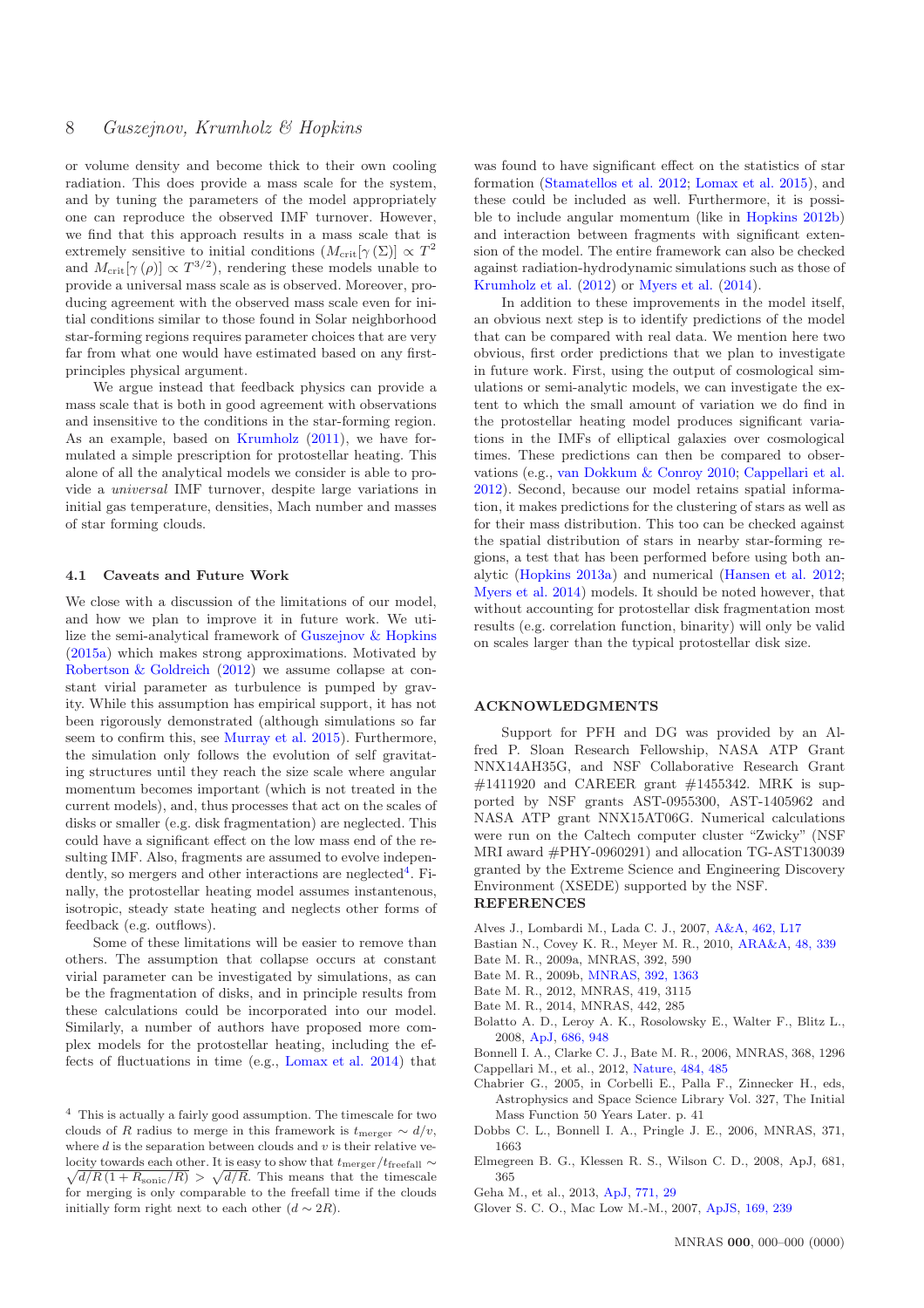or volume density and become thick to their own cooling radiation. This does provide a mass scale for the system, and by tuning the parameters of the model appropriately one can reproduce the observed IMF turnover. However, we find that this approach results in a mass scale that is extremely sensitive to initial conditions  $(M_{\rm crit}[\gamma(\Sigma)] \propto T^2$ and  $M_{\text{crit}}[\gamma(\rho)] \propto T^{3/2}$ , rendering these models unable to provide a universal mass scale as is observed. Moreover, producing agreement with the observed mass scale even for initial conditions similar to those found in Solar neighborhood star-forming regions requires parameter choices that are very far from what one would have estimated based on any firstprinciples physical argument.

We argue instead that feedback physics can provide a mass scale that is both in good agreement with observations and insensitive to the conditions in the star-forming region. As an example, based on [Krumholz](#page-8-36) [\(2011\)](#page-8-36), we have formulated a simple prescription for protostellar heating. This alone of all the analytical models we consider is able to provide a universal IMF turnover, despite large variations in initial gas temperature, densities, Mach number and masses of star forming clouds.

#### 4.1 Caveats and Future Work

We close with a discussion of the limitations of our model, and how we plan to improve it in future work. We utilize the semi-analytical framework of [Guszejnov & Hopkins](#page-8-35) [\(2015a\)](#page-8-35) which makes strong approximations. Motivated by [Robertson & Goldreich](#page-8-38) [\(2012](#page-8-38)) we assume collapse at constant virial parameter as turbulence is pumped by gravity. While this assumption has empirical support, it has not been rigorously demonstrated (although simulations so far seem to confirm this, see [Murray et al. 2015](#page-8-39)). Furthermore, the simulation only follows the evolution of self gravitating structures until they reach the size scale where angular momentum becomes important (which is not treated in the current models), and, thus processes that act on the scales of disks or smaller (e.g. disk fragmentation) are neglected. This could have a significant effect on the low mass end of the resulting IMF. Also, fragments are assumed to evolve indepen-dently, so mergers and other interactions are neglected<sup>[4](#page-7-14)</sup>. Finally, the protostellar heating model assumes instantenous, isotropic, steady state heating and neglects other forms of feedback (e.g. outflows).

Some of these limitations will be easier to remove than others. The assumption that collapse occurs at constant virial parameter can be investigated by simulations, as can be the fragmentation of disks, and in principle results from these calculations could be incorporated into our model. Similarly, a number of authors have proposed more complex models for the protostellar heating, including the effects of fluctuations in time (e.g., [Lomax et al. 2014\)](#page-8-45) that was found to have significant effect on the statistics of star formation [\(Stamatellos et al. 2012](#page-8-46); [Lomax et al. 2015](#page-8-47)), and these could be included as well. Furthermore, it is possible to include angular momentum (like in [Hopkins 2012b\)](#page-8-15) and interaction between fragments with significant extension of the model. The entire framework can also be checked against radiation-hydrodynamic simulations such as those of [Krumholz et al.](#page-8-33) [\(2012](#page-8-33)) or [Myers et al.](#page-8-48) [\(2014](#page-8-48)).

In addition to these improvements in the model itself, an obvious next step is to identify predictions of the model that can be compared with real data. We mention here two obvious, first order predictions that we plan to investigate in future work. First, using the output of cosmological simulations or semi-analytic models, we can investigate the extent to which the small amount of variation we do find in the protostellar heating model produces significant variations in the IMFs of elliptical galaxies over cosmological times. These predictions can then be compared to observations (e.g., [van Dokkum & Conroy 2010;](#page-8-5) [Cappellari et al.](#page-7-3) [2012](#page-7-3)). Second, because our model retains spatial information, it makes predictions for the clustering of stars as well as for their mass distribution. This too can be checked against the spatial distribution of stars in nearby star-forming regions, a test that has been performed before using both analytic [\(Hopkins 2013a](#page-8-49)) and numerical [\(Hansen et al. 2012;](#page-8-50) [Myers et al. 2014](#page-8-48)) models. It should be noted however, that without accounting for protostellar disk fragmentation most results (e.g. correlation function, binarity) will only be valid on scales larger than the typical protostellar disk size.

#### ACKNOWLEDGMENTS

Support for PFH and DG was provided by an Alfred P. Sloan Research Fellowship, NASA ATP Grant NNX14AH35G, and NSF Collaborative Research Grant  $\#1411920$  and CAREER grant  $\#1455342$ . MRK is supported by NSF grants AST-0955300, AST-1405962 and NASA ATP grant NNX15AT06G. Numerical calculations were run on the Caltech computer cluster "Zwicky" (NSF MRI award #PHY-0960291) and allocation TG-AST130039 granted by the Extreme Science and Engineering Discovery Environment (XSEDE) supported by the NSF. **REFERENCES** 

- <span id="page-7-5"></span>Alves J., Lombardi M., Lada C. J., 2007, [A&A,](http://dx.doi.org/10.1051/0004-6361:20066389) [462, L17](http://adsabs.harvard.edu/abs/2007A%26A...462L..17A)
- <span id="page-7-1"></span>Bastian N., Covey K. R., Meyer M. R., 2010, [ARA&A,](http://dx.doi.org/10.1146/annurev-astro-082708-101642) [48, 339](http://adsabs.harvard.edu/abs/2010ARA%26A..48..339B)
- <span id="page-7-10"></span>Bate M. R., 2009a, MNRAS, 392, 590
- <span id="page-7-11"></span>Bate M. R., 2009b, [MNRAS,](http://dx.doi.org/10.1111/j.1365-2966.2008.14165.x) [392, 1363](http://adsabs.harvard.edu/abs/2009MNRAS.392.1363B)
- <span id="page-7-12"></span>Bate M. R., 2012, MNRAS, 419, 3115
- <span id="page-7-13"></span>Bate M. R., 2014, MNRAS, 442, 285
- <span id="page-7-0"></span>Bolatto A. D., Leroy A. K., Rosolowsky E., Walter F., Blitz L., 2008, [ApJ,](http://dx.doi.org/10.1086/591513) [686, 948](http://adsabs.harvard.edu/abs/2008ApJ...686..948B)
- <span id="page-7-9"></span>Bonnell I. A., Clarke C. J., Bate M. R., 2006, MNRAS, 368, 1296 Cappellari M., et al., 2012, [Nature,](http://dx.doi.org/10.1038/nature10972) [484, 485](http://adsabs.harvard.edu/abs/2012Natur.484..485C)
- <span id="page-7-4"></span><span id="page-7-3"></span>Chabrier G., 2005, in Corbelli E., Palla F., Zinnecker H., eds, Astrophysics and Space Science Library Vol. 327, The Initial Mass Function 50 Years Later. p. 41
- <span id="page-7-6"></span>Dobbs C. L., Bonnell I. A., Pringle J. E., 2006, MNRAS, 371, 1663
- <span id="page-7-8"></span>Elmegreen B. G., Klessen R. S., Wilson C. D., 2008, ApJ, 681, 365
- <span id="page-7-2"></span>Geha M., et al., 2013, [ApJ,](http://dx.doi.org/10.1088/0004-637X/771/1/29) [771, 29](http://adsabs.harvard.edu/abs/2013ApJ...771...29G)
- <span id="page-7-7"></span>Glover S. C. O., Mac Low M.-M., 2007, [ApJS,](http://dx.doi.org/10.1086/512238) [169, 239](http://adsabs.harvard.edu/abs/2007ApJS..169..239G)

<span id="page-7-14"></span> $^4\,$  This is actually a fairly good assumption. The timescale for two clouds of R radius to merge in this framework is  $t_{\text{merger}} \sim d/v$ , where  $d$  is the separation between clouds and  $v$  is their relative velocity towards each other. It is easy to show that  $t_{\rm merger}/t_{\rm freefall} \sim$  $\sqrt{d/R(1 + R_{\text{sonic}}/R)} > \sqrt{d/R}$ . This means that the timescale for merging is only comparable to the freefall time if the clouds initially form right next to each other  $(d \sim 2R)$ .